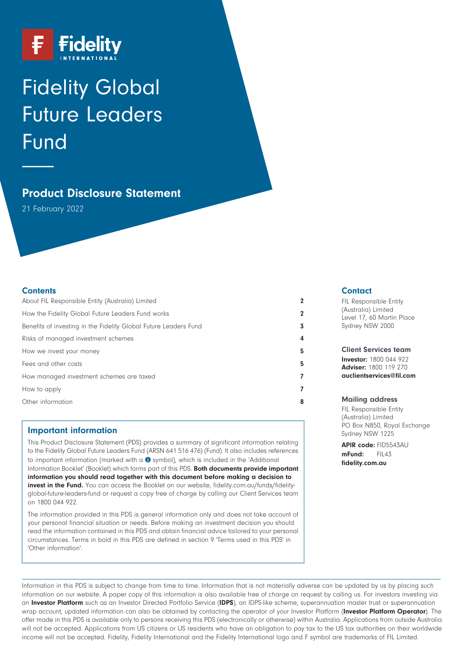

# Fidelity Global Future Leaders Fund

# **Product Disclosure Statement**

21 February 2022

### **Contents**

| About FIL Responsible Entity (Australia) Limited                 |   |
|------------------------------------------------------------------|---|
| How the Fidelity Global Future Leaders Fund works                |   |
| Benefits of investing in the Fidelity Global Future Leaders Fund |   |
| Risks of managed investment schemes                              |   |
| How we invest your money                                         | 5 |
| Fees and other costs                                             | 5 |
| How managed investment schemes are taxed                         |   |
| How to apply                                                     |   |
| Other information                                                |   |

# **Important information**

This Product Disclosure Statement (PDS) provides a summary of significant information relating to the Fidelity Global Future Leaders Fund (ARSN 641 516 476) (Fund). It also includes references to important information (marked with a  $\bullet$  symbol), which is included in the 'Additional Information Booklet' (Booklet) which forms part of this PDS. **Both documents provide important information you should read together with this document before making a decision to invest in the Fund.** You can access the Booklet on our website, [fidelity.com.au/funds/fidelity](https://www.fidelity.com.au/funds/fidelity-global-future-leaders-fund)[global-future-leaders-fund](https://www.fidelity.com.au/funds/fidelity-global-future-leaders-fund) or request a copy free of charge by calling our Client Services team on 1800 044 922.

The information provided in this PDS is general information only and does not take account of your personal financial situation or needs. Before making an investment decision you should read the information contained in this PDS and obtain financial advice tailored to your personal circumstances. Terms in bold in this PDS are defined in section 9 'Terms used in this PDS' in 'Other information'.

### **Contact**

FIL Responsible Entity (Australia) Limited Level 17, 60 Martin Place Sydney NSW 2000

**Client Services team**

**Investor:** 1800 044 922 **Adviser:** 1800 119 270 **[auclientservices@fil.com](mailto:auclientservices@fil.com)**

#### **Mailing address**

FIL Responsible Entity (Australia) Limited PO Box N850, Royal Exchange Sydney NSW 1225

**APIR code:** FID5543AU<br> **mFund:** FIL43 mFund: **[fidelity.com.au](https://www.fidelity.com.au)**

Information in this PDS is subject to change from time to time. Information that is not materially adverse can be updated by us by placing such information on our website. A paper copy of this information is also available free of charge on request by calling us. For investors investing via an **Investor Platform** such as an Investor Directed Portfolio Service (**IDPS**), an IDPS-like scheme, superannuation master trust or superannuation wrap account, updated information can also be obtained by contacting the operator of your Investor Platform (**Investor Platform Operator**). The offer made in this PDS is available only to persons receiving this PDS (electronically or otherwise) within Australia. Applications from outside Australia will not be accepted. Applications from US citizens or US residents who have an obligation to pay tax to the US tax authorities on their worldwide income will not be accepted. Fidelity, Fidelity International and the Fidelity International logo and F symbol are trademarks of FIL Limited.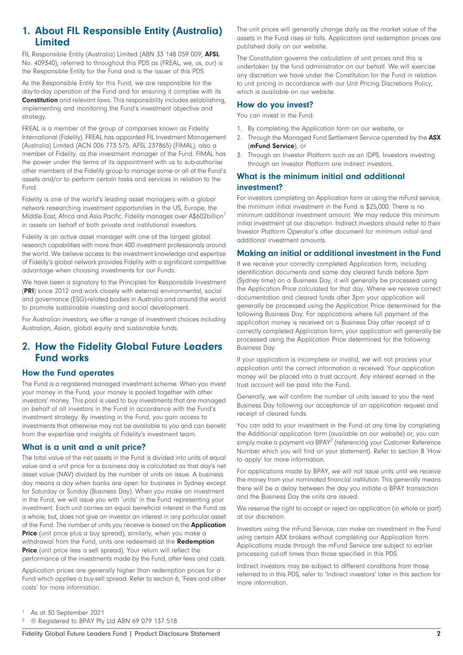# <span id="page-1-0"></span>**1. About FIL Responsible Entity (Australia) Limited**

FIL Responsible Entity (Australia) Limited (ABN 33 148 059 009, **AFSL** No. 409340), referred to throughout this PDS as (FREAL, we, us, our) is the Responsible Entity for the Fund and is the issuer of this PDS.

As the Responsible Entity for this Fund, we are responsible for the day-to-day operation of the Fund and for ensuring it complies with its **Constitution** and relevant laws. This responsibility includes establishing, implementing and monitoring the Fund's investment objective and strategy.

FREAL is a member of the group of companies known as Fidelity International (Fidelity). FREAL has appointed FIL Investment Management (Australia) Limited (ACN 006 773 575, AFSL 237865) (FIMAL), also a member of Fidelity, as the investment manager of the Fund. FIMAL has the power under the terms of its appointment with us to sub-authorise other members of the Fidelity group to manage some or all of the Fund's assets and/or to perform certain tasks and services in relation to the Fund.

Fidelity is one of the world's leading asset managers with a global network researching investment opportunities in the US, Europe, the Middle East, Africa and Asia Pacific. Fidelity manages over A\$602billion<sup>1</sup> in assets on behalf of both private and institutional investors.

Fidelity is an active asset manager with one of the largest global research capabilities with more than 400 investment professionals around the world. We believe access to the investment knowledge and expertise of Fidelity's global network provides Fidelity with a significant competitive advantage when choosing investments for our Funds.

We have been a signatory to the Principles for Responsible Investment (**PRI**) since 2012 and work closely with external environmental, social and governance (ESG)-related bodies in Australia and around the world to promote sustainable investing and social development.

<span id="page-1-1"></span>For Australian investors, we offer a range of investment choices including Australian, Asian, global equity and sustainable funds.

# **2. How the Fidelity Global Future Leaders Fund works**

### **How the Fund operates**

The Fund is a registered managed investment scheme. When you invest your money in the Fund, your money is pooled together with other investors' money. This pool is used to buy investments that are managed on behalf of all investors in the Fund in accordance with the Fund's investment strategy. By investing in the Fund, you gain access to investments that otherwise may not be available to you and can benefit from the expertise and insights of Fidelity's investment team.

# **What is a unit and a unit price?**

The total value of the net assets in the Fund is divided into units of equal value and a unit price for a business day is calculated as that day's net asset value (NAV) divided by the number of units on issue. A business day means a day when banks are open for business in Sydney except for Saturday or Sunday (Business Day). When you make an investment in the Fund, we will issue you with 'units' in the Fund representing your investment. Each unit carries an equal beneficial interest in the Fund as a whole, but, does not give an investor an interest in any particular asset of the Fund. The number of units you receive is based on the **Application Price** (unit price plus a buy spread), similarly, when you make a withdrawal from the Fund, units are redeemed at the **Redemption Price** (unit price less a sell spread). Your return will reflect the performance of the investments made by the Fund, after fees and costs.

Application prices are generally higher than redemption prices for a Fund which applies a buy-sell spread. Refer to section 6, 'Fees and other costs' for more information.

The unit prices will generally change daily as the market value of the assets in the Fund rises or falls. Application and redemption prices are published daily on our website.

The Constitution governs the calculation of unit prices and this is undertaken by the fund administrator on our behalf. We will exercise any discretion we have under the Constitution for the Fund in relation to unit pricing in accordance with our Unit Pricing Discretions Policy, which is available on our website.

## **How do you invest?**

You can invest in the Fund:

- 1. By completing the Application form on our website, or
- 2. Through the Managed Fund Settlement Service operated by the **ASX** (**mFund Service**), or
- 3. Through an Investor Platform such as an IDPS. Investors investing through an Investor Platform are indirect investors.

# **What is the minimum initial and additional investment?**

For investors completing an Application form or using the mFund service, the minimum initial investment in the Fund is \$25,000. There is no minimum additional investment amount. We may reduce this minimum initial investment at our discretion. Indirect investors should refer to their Investor Platform Operator's offer document for minimum initial and additional investment amounts.

# **Making an initial or additional investment in the Fund**

If we receive your correctly completed Application form, including identification documents and same day cleared funds before 3pm (Sydney time) on a Business Day, it will generally be processed using the Application Price calculated for that day. Where we receive correct documentation and cleared funds after 3pm your application will generally be processed using the Application Price determined for the following Business Day. For applications where full payment of the application money is received on a Business Day after receipt of a correctly completed Application form, your application will generally be processed using the Application Price determined for the following Business Day.

If your application is incomplete or invalid, we will not process your application until the correct information is received. Your application money will be placed into a trust account. Any interest earned in the trust account will be paid into the Fund.

Generally, we will confirm the number of units issued to you the next Business Day following our acceptance of an application request and receipt of cleared funds.

You can add to your investment in the Fund at any time by completing the Additional application form (available on our website) or, you can simply make a payment via BPAY<sup>2</sup> (referencing your Customer Reference Number which you will find on your statement). Refer to section 8 'How to apply' for more information.

For applications made by BPAY, we will not issue units until we receive the money from your nominated financial institution. This generally means there will be a delay between the day you initiate a BPAY transaction and the Business Day the units are issued.

We reserve the right to accept or reject an application (in whole or part) at our discretion.

Investors using the mFund Service, can make an investment in the Fund using certain ASX brokers without completing our Application form. Applications made through the mFund Service are subject to earlier processing cut-off times than those specified in this PDS.

Indirect investors may be subject to different conditions from those referred to in this PDS, refer to 'Indirect investors' later in this section for more information.

1. As at 30 September 2021

2. ® Registered to BPAY Pty Ltd ABN 69 079 137 518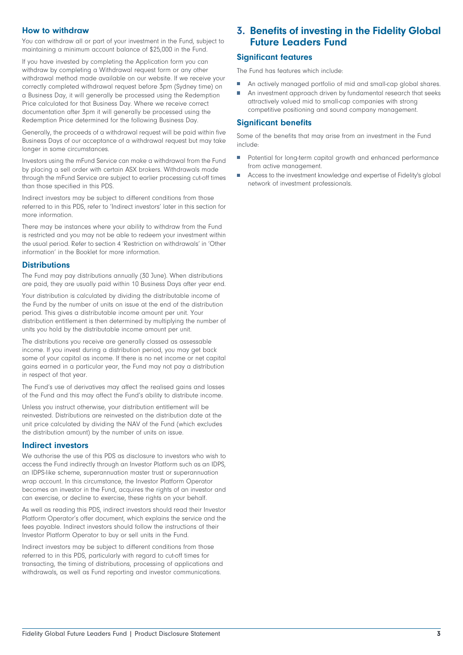# **How to withdraw**

You can withdraw all or part of your investment in the Fund, subject to maintaining a minimum account balance of \$25,000 in the Fund.

If you have invested by completing the Application form you can withdraw by completing a Withdrawal request form or any other withdrawal method made available on our website. If we receive your correctly completed withdrawal request before 3pm (Sydney time) on a Business Day, it will generally be processed using the Redemption Price calculated for that Business Day. Where we receive correct documentation after 3pm it will generally be processed using the Redemption Price determined for the following Business Day.

Generally, the proceeds of a withdrawal request will be paid within five Business Days of our acceptance of a withdrawal request but may take longer in some circumstances.

Investors using the mFund Service can make a withdrawal from the Fund by placing a sell order with certain ASX brokers. Withdrawals made through the mFund Service are subject to earlier processing cut-off times than those specified in this PDS.

Indirect investors may be subject to different conditions from those referred to in this PDS, refer to 'Indirect investors' later in this section for more information.

There may be instances where your ability to withdraw from the Fund is restricted and you may not be able to redeem your investment within the usual period. Refer to section 4 'Restriction on withdrawals' in 'Other information' in the Booklet for more information.

### **Distributions**

The Fund may pay distributions annually (30 June). When distributions are paid, they are usually paid within 10 Business Days after year end.

Your distribution is calculated by dividing the distributable income of the Fund by the number of units on issue at the end of the distribution period. This gives a distributable income amount per unit. Your distribution entitlement is then determined by multiplying the number of units you hold by the distributable income amount per unit.

The distributions you receive are generally classed as assessable income. If you invest during a distribution period, you may get back some of your capital as income. If there is no net income or net capital gains earned in a particular year, the Fund may not pay a distribution in respect of that year.

The Fund's use of derivatives may affect the realised gains and losses of the Fund and this may affect the Fund's ability to distribute income.

Unless you instruct otherwise, your distribution entitlement will be reinvested. Distributions are reinvested on the distribution date at the unit price calculated by dividing the NAV of the Fund (which excludes the distribution amount) by the number of units on issue.

### **Indirect investors**

We authorise the use of this PDS as disclosure to investors who wish to access the Fund indirectly through an Investor Platform such as an IDPS, an IDPS-like scheme, superannuation master trust or superannuation wrap account. In this circumstance, the Investor Platform Operator becomes an investor in the Fund, acquires the rights of an investor and can exercise, or decline to exercise, these rights on your behalf.

As well as reading this PDS, indirect investors should read their Investor Platform Operator's offer document, which explains the service and the fees payable. Indirect investors should follow the instructions of their Investor Platform Operator to buy or sell units in the Fund.

Indirect investors may be subject to different conditions from those referred to in this PDS, particularly with regard to cut-off times for transacting, the timing of distributions, processing of applications and withdrawals, as well as Fund reporting and investor communications.

# <span id="page-2-0"></span>**3. Benefits of investing in the Fidelity Global Future Leaders Fund**

# **Significant features**

The Fund has features which include:

- An actively managed portfolio of mid and small-cap global shares. Ħ
- An investment approach driven by fundamental research that seeks attractively valued mid to small-cap companies with strong competitive positioning and sound company management.

# **Significant benefits**

Some of the benefits that may arise from an investment in the Fund include:

- $\overline{\phantom{a}}$ Potential for long-term capital growth and enhanced performance from active management.
- Access to the investment knowledge and expertise of Fidelity's global network of investment professionals.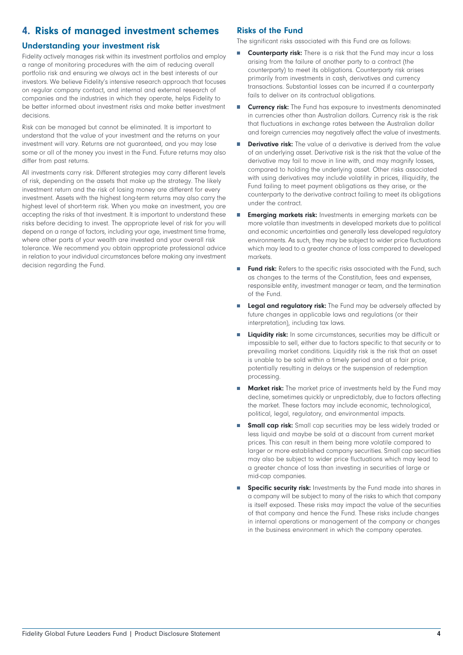# <span id="page-3-0"></span>**4. Risks of managed investment schemes**

# **Understanding your investment risk**

Fidelity actively manages risk within its investment portfolios and employ a range of monitoring procedures with the aim of reducing overall portfolio risk and ensuring we always act in the best interests of our investors. We believe Fidelity's intensive research approach that focuses on regular company contact, and internal and external research of companies and the industries in which they operate, helps Fidelity to be better informed about investment risks and make better investment decisions.

Risk can be managed but cannot be eliminated. It is important to understand that the value of your investment and the returns on your investment will vary. Returns are not guaranteed, and you may lose some or all of the money you invest in the Fund. Future returns may also differ from past returns.

All investments carry risk. Different strategies may carry different levels of risk, depending on the assets that make up the strategy. The likely investment return and the risk of losing money are different for every investment. Assets with the highest long-term returns may also carry the highest level of short-term risk. When you make an investment, you are accepting the risks of that investment. It is important to understand these risks before deciding to invest. The appropriate level of risk for you will depend on a range of factors, including your age, investment time frame, where other parts of your wealth are invested and your overall risk tolerance. We recommend you obtain appropriate professional advice in relation to your individual circumstances before making any investment decision regarding the Fund.

# **Risks of the Fund**

The significant risks associated with this Fund are as follows:

- **Counterparty risk:** There is a risk that the Fund may incur a loss H arising from the failure of another party to a contract (the counterparty) to meet its obligations. Counterparty risk arises primarily from investments in cash, derivatives and currency transactions. Substantial losses can be incurred if a counterparty fails to deliver on its contractual obligations.
- $\overline{\phantom{a}}$ **Currency risk:** The Fund has exposure to investments denominated in currencies other than Australian dollars. Currency risk is the risk that fluctuations in exchange rates between the Australian dollar and foreign currencies may negatively affect the value of investments.
- **Derivative risk:** The value of a derivative is derived from the value of an underlying asset. Derivative risk is the risk that the value of the derivative may fail to move in line with, and may magnify losses, compared to holding the underlying asset. Other risks associated with using derivatives may include volatility in prices, illiquidity, the Fund failing to meet payment obligations as they arise, or the counterparty to the derivative contract failing to meet its obligations under the contract.
- **Emerging markets risk:** Investments in emerging markets can be  $\mathcal{L}_{\mathcal{A}}$ more volatile than investments in developed markets due to political and economic uncertainties and generally less developed regulatory environments. As such, they may be subject to wider price fluctuations which may lead to a greater chance of loss compared to developed markets.
- **Fund risk:** Refers to the specific risks associated with the Fund, such as changes to the terms of the Constitution, fees and expenses, responsible entity, investment manager or team, and the termination of the Fund.
- **Legal and regulatory risk:** The Fund may be adversely affected by future changes in applicable laws and regulations (or their interpretation), including tax laws.
- **Liquidity risk:** In some circumstances, securities may be difficult or impossible to sell, either due to factors specific to that security or to prevailing market conditions. Liquidity risk is the risk that an asset is unable to be sold within a timely period and at a fair price, potentially resulting in delays or the suspension of redemption processing.
- **Market risk:** The market price of investments held by the Fund may decline, sometimes quickly or unpredictably, due to factors affecting the market. These factors may include economic, technological, political, legal, regulatory, and environmental impacts.
- **Small cap risk:** Small cap securities may be less widely traded or less liquid and maybe be sold at a discount from current market prices. This can result in them being more volatile compared to larger or more established company securities. Small cap securities may also be subject to wider price fluctuations which may lead to a greater chance of loss than investing in securities of large or mid-cap companies.
- **Specific security risk:** Investments by the Fund made into shares in a company will be subject to many of the risks to which that company is itself exposed. These risks may impact the value of the securities of that company and hence the Fund. These risks include changes in internal operations or management of the company or changes in the business environment in which the company operates.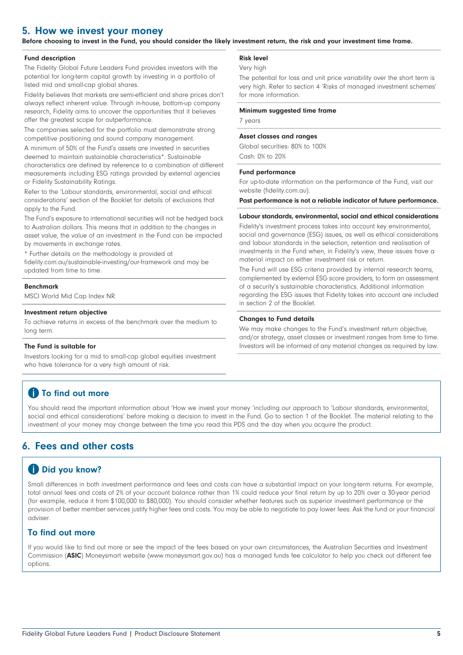# <span id="page-4-0"></span>**5. How we invest your money**

**Before choosing to invest in the Fund, you should consider the likely investment return, the risk and your investment time frame.**

#### **Fund description**

The Fidelity Global Future Leaders Fund provides investors with the potential for long-term capital growth by investing in a portfolio of listed mid and small-cap global shares.

Fidelity believes that markets are semi-efficient and share prices don't always reflect inherent value. Through in-house, bottom-up company research, Fidelity aims to uncover the opportunities that it believes offer the greatest scope for outperformance.

The companies selected for the portfolio must demonstrate strong competitive positioning and sound company management.

A minimum of 50% of the Fund's assets are invested in securities deemed to maintain sustainable characteristics\*. Sustainable characteristics are defined by reference to a combination of different measurements including ESG ratings provided by external agencies or Fidelity Sustainability Ratings.

Refer to the 'Labour standards, environmental, social and ethical considerations' section of the Booklet for details of exclusions that apply to the Fund.

The Fund's exposure to international securities will not be hedged back to Australian dollars. This means that in addition to the changes in asset value, the value of an investment in the Fund can be impacted by movements in exchange rates.

\* Further details on the methodology is provided at [fidelity.com.au/sustainable-investing/our-framework](https://fidelity.com.au/sustainable-investing/our-framework) and may be updated from time to time.

#### **Benchmark**

MSCI World Mid Cap Index NR

#### **Investment return objective**

To achieve returns in excess of the benchmark over the medium to long term.

#### **The Fund is suitable for**

Investors looking for a mid to small-cap global equities investment who have tolerance for a very high amount of risk.

#### **Risk level**

Very high

The potential for loss and unit price variability over the short term is very high. Refer to section 4 'Risks of managed investment schemes' for more information.

#### **Minimum suggested time frame**

7 years

#### **Asset classes and ranges**

Global securities: 80% to 100% Cash: 0% to 20%

#### **Fund performance**

For up-to-date information on the performance of the Fund, visit our website [\(fidelity.com.au](https://www.fidelity.com.au)).

**Past performance is not a reliable indicator of future performance.**

#### **Labour standards, environmental, social and ethical considerations**

Fidelity's investment process takes into account key environmental, social and governance (ESG) issues, as well as ethical considerations and labour standards in the selection, retention and realisation of investments in the Fund when, in Fidelity's view, these issues have a material impact on either investment risk or return.

The Fund will use ESG criteria provided by internal research teams, complemented by external ESG score providers, to form an assessment of a security's sustainable characteristics. Additional information regarding the ESG issues that Fidelity takes into account are included in section 2 of the Booklet.

#### **Changes to Fund details**

We may make changes to the Fund's investment return objective, and/or strategy, asset classes or investment ranges from time to time. Investors will be informed of any material changes as required by law.

# **1** To find out more

<span id="page-4-1"></span>You should read the important information about 'How we invest your money 'including our approach to 'Labour standards, environmental, social and ethical considerations' before making a decision to invest in the Fund. Go to section 1 of the Booklet. The material relating to the investment of your money may change between the time you read this PDS and the day when you acquire the product.

# **6. Fees and other costs**

# *Did you know?*

Small differences in both investment performance and fees and costs can have a substantial impact on your long-term returns. For example, total annual fees and costs of 2% of your account balance rather than 1% could reduce your final return by up to 20% over a 30-year period (for example, reduce it from \$100,000 to \$80,000). You should consider whether features such as superior investment performance or the provision of better member services justify higher fees and costs. You may be able to negotiate to pay lower fees. Ask the fund or your financial adviser.

### **To find out more**

If you would like to find out more or see the impact of the fees based on your own circumstances, the Australian Securities and Investment Commission (**ASIC**) Moneysmart website [\(www.moneysmart.gov.au](https://www.moneysmart.gov.au)) has a managed funds fee calculator to help you check out different fee options.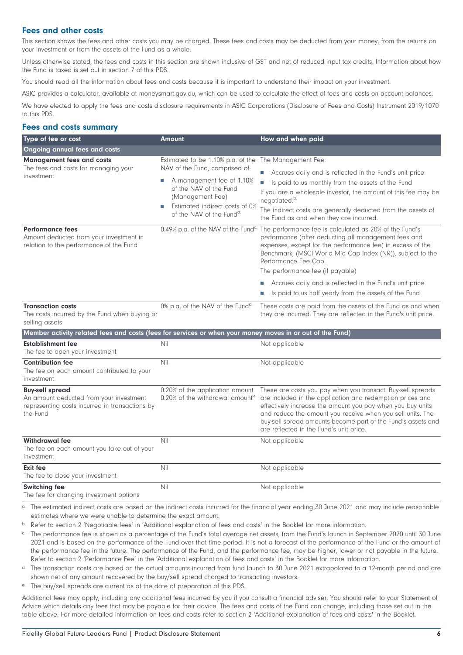### **Fees and other costs**

This section shows the fees and other costs you may be charged. These fees and costs may be deducted from your money, from the returns on your investment or from the assets of the Fund as a whole.

Unless otherwise stated, the fees and costs in this section are shown inclusive of GST and net of reduced input tax credits. Information about how the Fund is taxed is set out in section 7 of this PDS.

You should read all the information about fees and costs because it is important to understand their impact on your investment.

ASIC provides a calculator, available at moneysmart.gov.au, which can be used to calculate the effect of fees and costs on account balances.

We have elected to apply the fees and costs disclosure requirements in ASIC Corporations (Disclosure of Fees and Costs) Instrument 2019/1070 to this PDS.

### **Fees and costs summary**

| Type of fee or cost                                                                                                             | <b>Amount</b>                                                                                                                                                                                             | How and when paid                                                                                                                                                                                                                                                                                                                                               |
|---------------------------------------------------------------------------------------------------------------------------------|-----------------------------------------------------------------------------------------------------------------------------------------------------------------------------------------------------------|-----------------------------------------------------------------------------------------------------------------------------------------------------------------------------------------------------------------------------------------------------------------------------------------------------------------------------------------------------------------|
| <b>Ongoing annual fees and costs</b>                                                                                            |                                                                                                                                                                                                           |                                                                                                                                                                                                                                                                                                                                                                 |
| <b>Management fees and costs</b><br>The fees and costs for managing your<br>investment                                          | Estimated to be 1.10% p.a. of the The Management Fee:<br>NAV of the Fund, comprised of:<br>A management fee of 1.10%<br>Ш<br>of the NAV of the Fund<br>(Management Fee)<br>Estimated indirect costs of 0% | Accrues daily and is reflected in the Fund's unit price<br>Is paid to us monthly from the assets of the Fund<br>П<br>If you are a wholesale investor, the amount of this fee may be<br>negotiated. <sup>b.</sup>                                                                                                                                                |
|                                                                                                                                 | of the NAV of the Fund <sup>a.</sup>                                                                                                                                                                      | The indirect costs are generally deducted from the assets of<br>the Fund as and when they are incurred.                                                                                                                                                                                                                                                         |
| <b>Performance fees</b><br>Amount deducted from your investment in<br>relation to the performance of the Fund                   | 0.49% p.a. of the NAV of the Fund <sup>c.</sup>                                                                                                                                                           | The performance fee is calculated as 20% of the Fund's<br>performance (after deducting all management fees and<br>expenses, except for the performance fee) in excess of the<br>Benchmark, (MSCI World Mid Cap Index (NR)), subject to the<br>Performance Fee Cap.<br>The performance fee (if payable)                                                          |
|                                                                                                                                 |                                                                                                                                                                                                           | Accrues daily and is reflected in the Fund's unit price<br>Is paid to us half yearly from the assets of the Fund                                                                                                                                                                                                                                                |
| <b>Transaction costs</b><br>The costs incurred by the Fund when buying or<br>selling assets                                     | 0% p.a. of the NAV of the Fundd.                                                                                                                                                                          | These costs are paid from the assets of the Fund as and when<br>they are incurred. They are reflected in the Fund's unit price.                                                                                                                                                                                                                                 |
| Member activity related fees and costs (fees for services or when your money moves in or out of the Fund)                       |                                                                                                                                                                                                           |                                                                                                                                                                                                                                                                                                                                                                 |
| <b>Establishment fee</b><br>The fee to open your investment                                                                     | Nil                                                                                                                                                                                                       | Not applicable                                                                                                                                                                                                                                                                                                                                                  |
| <b>Contribution fee</b><br>The fee on each amount contributed to your<br>investment                                             | Nil                                                                                                                                                                                                       | Not applicable                                                                                                                                                                                                                                                                                                                                                  |
| <b>Buy-sell spread</b><br>An amount deducted from your investment<br>representing costs incurred in transactions by<br>the Fund | 0.20% of the application amount<br>0.20% of the withdrawal amounte.                                                                                                                                       | These are costs you pay when you transact. Buy-sell spreads<br>are included in the application and redemption prices and<br>effectively increase the amount you pay when you buy units<br>and reduce the amount you receive when you sell units. The<br>buy-sell spread amounts become part of the Fund's assets and<br>are reflected in the Fund's unit price. |
| <b>Withdrawal fee</b><br>The fee on each amount you take out of your<br>investment                                              | Nil                                                                                                                                                                                                       | Not applicable                                                                                                                                                                                                                                                                                                                                                  |
| <b>Exit fee</b><br>The fee to close your investment                                                                             | Nil                                                                                                                                                                                                       | Not applicable                                                                                                                                                                                                                                                                                                                                                  |
| <b>Switching fee</b><br>The fee for changing investment options                                                                 | Nil                                                                                                                                                                                                       | Not applicable                                                                                                                                                                                                                                                                                                                                                  |

a. The estimated indirect costs are based on the indirect costs incurred for the financial year ending 30 June 2021 and may include reasonable estimates where we were unable to determine the exact amount.

b. Refer to section 2 'Negotiable fees' in 'Additional explanation of fees and costs' in the Booklet for more information.

c. The performance fee is shown as a percentage of the Fund's total average net assets, from the Fund's launch in September 2020 until 30 June 2021 and is based on the performance of the Fund over that time period. It is not a forecast of the performance of the Fund or the amount of the performance fee in the future. The performance of the Fund, and the performance fee, may be higher, lower or not payable in the future. Refer to section 2 'Performance Fee' in the 'Additional explanation of fees and costs' in the Booklet for more information.

d. The transaction costs are based on the actual amounts incurred from fund launch to 30 June 2021 extrapolated to a 12-month period and are shown net of any amount recovered by the buy/sell spread charged to transacting investors.

e. The buy/sell spreads are current as at the date of preparation of this PDS.

Additional fees may apply, including any additional fees incurred by you if you consult a financial adviser. You should refer to your Statement of Advice which details any fees that may be payable for their advice. The fees and costs of the Fund can change, including those set out in the table above. For more detailed information on fees and costs refer to section 2 'Additional explanation of fees and costs' in the Booklet.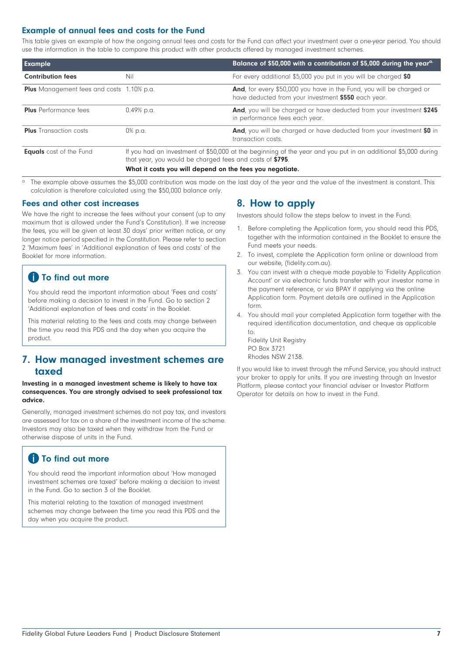# **Example of annual fees and costs for the Fund**

This table gives an example of how the ongoing annual fees and costs for the Fund can affect your investment over a one-year period. You should use the information in the table to compare this product with other products offered by managed investment schemes.

| <b>Example</b>                                   |                                                          | Balance of \$50,000 with a contribution of \$5,000 during the year <sup>a.</sup>                                            |
|--------------------------------------------------|----------------------------------------------------------|-----------------------------------------------------------------------------------------------------------------------------|
| <b>Contribution fees</b>                         | Nil                                                      | For every additional \$5,000 you put in you will be charged \$0                                                             |
| <b>Plus</b> Management fees and costs 1.10% p.a. |                                                          | And, for every \$50,000 you have in the Fund, you will be charged or<br>have deducted from your investment \$550 each year. |
| <b>Plus</b> Performance fees                     | 0.49% p.a.                                               | And, you will be charged or have deducted from your investment \$245<br>in performance fees each year.                      |
| <b>Plus</b> Transaction costs                    | 0% p.a.                                                  | <b>And</b> , you will be charged or have deducted from your investment \$0 in<br>transaction costs.                         |
| <b>Equals</b> cost of the Fund                   | that year, you would be charged fees and costs of \$795. | If you had an investment of \$50,000 at the beginning of the year and you put in an additional \$5,000 during               |

#### **What it costs you will depend on the fees you negotiate.**

a. The example above assumes the \$5,000 contribution was made on the last day of the year and the value of the investment is constant. This calculation is therefore calculated using the \$50,000 balance only.

### **Fees and other cost increases**

We have the right to increase the fees without your consent (up to any maximum that is allowed under the Fund's Constitution). If we increase the fees, you will be given at least 30 days' prior written notice, or any longer notice period specified in the Constitution. Please refer to section 2 'Maximum fees' in 'Additional explanation of fees and costs' of the Booklet for more information.

# **f** To find out more

You should read the important information about 'Fees and costs' before making a decision to invest in the Fund. Go to section 2 'Additional explanation of fees and costs' in the Booklet.

<span id="page-6-0"></span>This material relating to the fees and costs may change between the time you read this PDS and the day when you acquire the product.

# **7. How managed investment schemes are taxed**

#### **Investing in a managed investment scheme is likely to have tax consequences. You are strongly advised to seek professional tax advice.**

Generally, managed investment schemes do not pay tax, and investors are assessed for tax on a share of the investment income of the scheme. Investors may also be taxed when they withdraw from the Fund or otherwise dispose of units in the Fund.

# **f** To find out more

You should read the important information about 'How managed investment schemes are taxed' before making a decision to invest in the Fund. Go to section 3 of the Booklet.

This material relating to the taxation of managed investment schemes may change between the time you read this PDS and the day when you acquire the product.

# <span id="page-6-1"></span>**8. How to apply**

Investors should follow the steps below to invest in the Fund:

- 1. Before completing the Application form, you should read this PDS, together with the information contained in the Booklet to ensure the Fund meets your needs.
- 2. To invest, complete the Application form online or download from our website, [\(fidelity.com.au\)](https://www.fidelity.com.au/).
- 3. You can invest with a cheque made payable to 'Fidelity Application Account' or via electronic funds transfer with your investor name in the payment reference, or via BPAY if applying via the online Application form. Payment details are outlined in the Application form.
- 4. You should mail your completed Application form together with the required identification documentation, and cheque as applicable to:

Fidelity Unit Registry PO Box 3721 Rhodes NSW 2138.

If you would like to invest through the mFund Service, you should instruct your broker to apply for units. If you are investing through an Investor Platform, please contact your financial adviser or Investor Platform Operator for details on how to invest in the Fund.